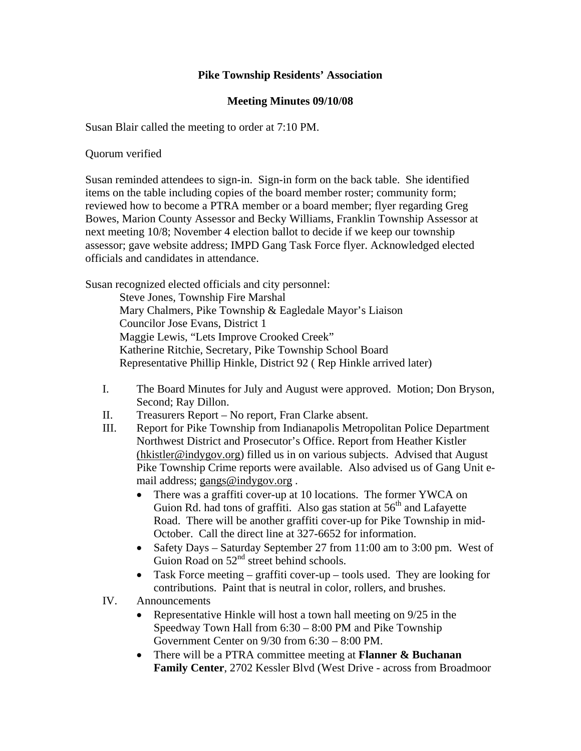## **Pike Township Residents' Association**

## **Meeting Minutes 09/10/08**

Susan Blair called the meeting to order at 7:10 PM.

Quorum verified

Susan reminded attendees to sign-in. Sign-in form on the back table. She identified items on the table including copies of the board member roster; community form; reviewed how to become a PTRA member or a board member; flyer regarding Greg Bowes, Marion County Assessor and Becky Williams, Franklin Township Assessor at next meeting 10/8; November 4 election ballot to decide if we keep our township assessor; gave website address; IMPD Gang Task Force flyer. Acknowledged elected officials and candidates in attendance.

Susan recognized elected officials and city personnel:

Steve Jones, Township Fire Marshal Mary Chalmers, Pike Township & Eagledale Mayor's Liaison Councilor Jose Evans, District 1 Maggie Lewis, "Lets Improve Crooked Creek" Katherine Ritchie, Secretary, Pike Township School Board Representative Phillip Hinkle, District 92 ( Rep Hinkle arrived later)

- I. The Board Minutes for July and August were approved. Motion; Don Bryson, Second; Ray Dillon.
- II. Treasurers Report No report, Fran Clarke absent.
- III. Report for Pike Township from Indianapolis Metropolitan Police Department Northwest District and Prosecutor's Office. Report from Heather Kistler (hkistler@indygov.org) filled us in on various subjects. Advised that August Pike Township Crime reports were available. Also advised us of Gang Unit email address; gangs@indygov.org .
	- There was a graffiti cover-up at 10 locations. The former YWCA on Guion Rd. had tons of graffiti. Also gas station at  $56<sup>th</sup>$  and Lafayette Road. There will be another graffiti cover-up for Pike Township in mid-October. Call the direct line at 327-6652 for information.
	- Safety Days Saturday September 27 from 11:00 am to 3:00 pm. West of Guion Road on 52<sup>nd</sup> street behind schools.
	- Task Force meeting graffiti cover-up tools used. They are looking for contributions. Paint that is neutral in color, rollers, and brushes.
- IV. Announcements
	- Representative Hinkle will host a town hall meeting on 9/25 in the Speedway Town Hall from 6:30 – 8:00 PM and Pike Township Government Center on 9/30 from 6:30 – 8:00 PM.
	- There will be a PTRA committee meeting at **Flanner & Buchanan Family Center**, 2702 Kessler Blvd (West Drive - across from Broadmoor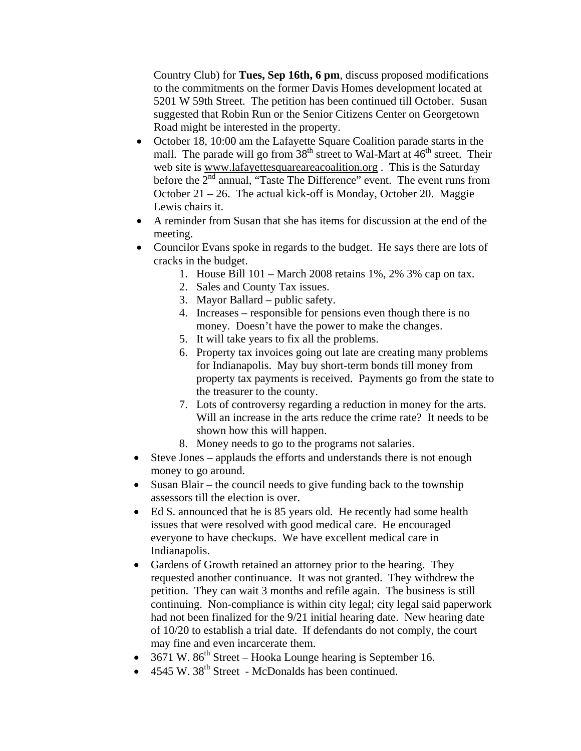Country Club) for **Tues, Sep 16th, 6 pm**, discuss proposed modifications to the commitments on the former Davis Homes development located at 5201 W 59th Street. The petition has been continued till October. Susan suggested that Robin Run or the Senior Citizens Center on Georgetown Road might be interested in the property.

- October 18, 10:00 am the Lafayette Square Coalition parade starts in the mall. The parade will go from  $38<sup>th</sup>$  street to Wal-Mart at  $46<sup>th</sup>$  street. Their web site is www.lafayettesquareareacoalition.org . This is the Saturday before the  $2<sup>nd</sup>$  annual, "Taste The Difference" event. The event runs from October 21 – 26. The actual kick-off is Monday, October 20. Maggie Lewis chairs it.
- A reminder from Susan that she has items for discussion at the end of the meeting.
- Councilor Evans spoke in regards to the budget. He says there are lots of cracks in the budget.
	- 1. House Bill 101 March 2008 retains 1%, 2% 3% cap on tax.
	- 2. Sales and County Tax issues.
	- 3. Mayor Ballard public safety.
	- 4. Increases responsible for pensions even though there is no money. Doesn't have the power to make the changes.
	- 5. It will take years to fix all the problems.
	- 6. Property tax invoices going out late are creating many problems for Indianapolis. May buy short-term bonds till money from property tax payments is received. Payments go from the state to the treasurer to the county.
	- 7. Lots of controversy regarding a reduction in money for the arts. Will an increase in the arts reduce the crime rate? It needs to be shown how this will happen.
	- 8. Money needs to go to the programs not salaries.
- Steve Jones applauds the efforts and understands there is not enough money to go around.
- Susan Blair the council needs to give funding back to the township assessors till the election is over.
- Ed S. announced that he is 85 years old. He recently had some health issues that were resolved with good medical care. He encouraged everyone to have checkups. We have excellent medical care in Indianapolis.
- Gardens of Growth retained an attorney prior to the hearing. They requested another continuance. It was not granted. They withdrew the petition. They can wait 3 months and refile again. The business is still continuing. Non-compliance is within city legal; city legal said paperwork had not been finalized for the 9/21 initial hearing date. New hearing date of 10/20 to establish a trial date. If defendants do not comply, the court may fine and even incarcerate them.
- 3671 W.  $86<sup>th</sup>$  Street Hooka Lounge hearing is September 16.
- $4545 \text{ W}$ ,  $38^{\text{th}}$  Street McDonalds has been continued.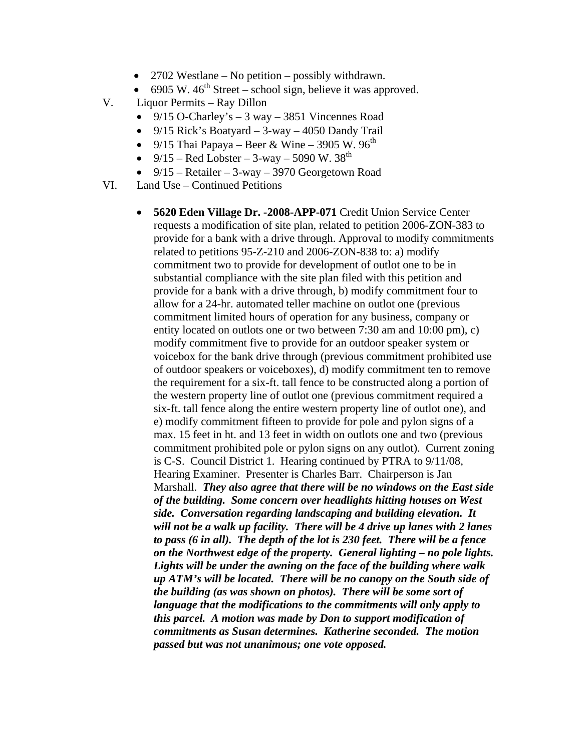- 2702 Westlane No petition possibly withdrawn.
- 6905 W,  $46^{\text{th}}$  Street school sign, believe it was approved.
- V. Liquor Permits Ray Dillon
	- 9/15 O-Charley's  $-3$  way  $-3851$  Vincennes Road
	- 9/15 Rick's Boatyard 3-way 4050 Dandy Trail
	- 9/15 Thai Papaya Beer & Wine 3905 W. 96<sup>th</sup>
	- 9/15 Red Lobster 3-way 5090 W.  $38^{th}$
	- $9/15$  Retailer 3-way 3970 Georgetown Road
- VI. Land Use Continued Petitions
	- **5620 Eden Village Dr. -2008-APP-071** Credit Union Service Center requests a modification of site plan, related to petition 2006-ZON-383 to provide for a bank with a drive through. Approval to modify commitments related to petitions 95-Z-210 and 2006-ZON-838 to: a) modify commitment two to provide for development of outlot one to be in substantial compliance with the site plan filed with this petition and provide for a bank with a drive through, b) modify commitment four to allow for a 24-hr. automated teller machine on outlot one (previous commitment limited hours of operation for any business, company or entity located on outlots one or two between 7:30 am and 10:00 pm), c) modify commitment five to provide for an outdoor speaker system or voicebox for the bank drive through (previous commitment prohibited use of outdoor speakers or voiceboxes), d) modify commitment ten to remove the requirement for a six-ft. tall fence to be constructed along a portion of the western property line of outlot one (previous commitment required a six-ft. tall fence along the entire western property line of outlot one), and e) modify commitment fifteen to provide for pole and pylon signs of a max. 15 feet in ht. and 13 feet in width on outlots one and two (previous commitment prohibited pole or pylon signs on any outlot). Current zoning is C-S. Council District 1. Hearing continued by PTRA to 9/11/08, Hearing Examiner. Presenter is Charles Barr. Chairperson is Jan Marshall. *They also agree that there will be no windows on the East side of the building. Some concern over headlights hitting houses on West side. Conversation regarding landscaping and building elevation. It will not be a walk up facility. There will be 4 drive up lanes with 2 lanes to pass (6 in all). The depth of the lot is 230 feet. There will be a fence on the Northwest edge of the property. General lighting – no pole lights. Lights will be under the awning on the face of the building where walk up ATM's will be located. There will be no canopy on the South side of the building (as was shown on photos). There will be some sort of language that the modifications to the commitments will only apply to this parcel. A motion was made by Don to support modification of commitments as Susan determines. Katherine seconded. The motion passed but was not unanimous; one vote opposed.*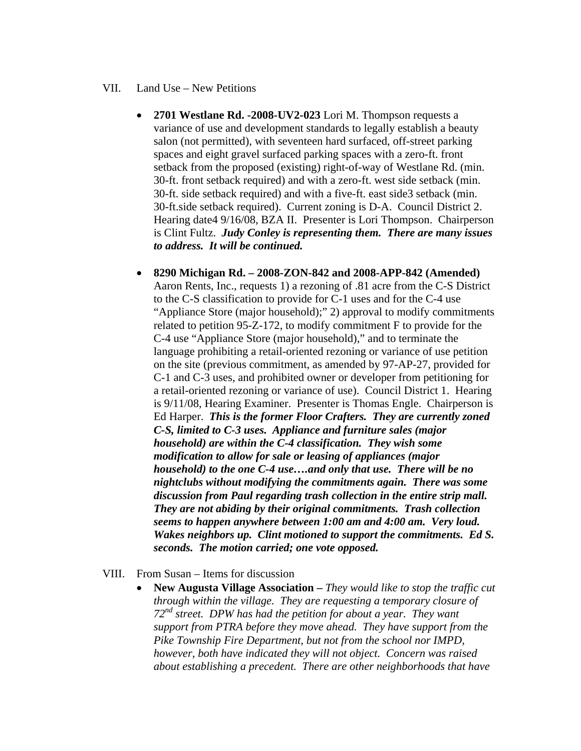## VII. Land Use – New Petitions

- **2701 Westlane Rd. -2008-UV2-023** Lori M. Thompson requests a variance of use and development standards to legally establish a beauty salon (not permitted), with seventeen hard surfaced, off-street parking spaces and eight gravel surfaced parking spaces with a zero-ft. front setback from the proposed (existing) right-of-way of Westlane Rd. (min. 30-ft. front setback required) and with a zero-ft. west side setback (min. 30-ft. side setback required) and with a five-ft. east side3 setback (min. 30-ft.side setback required). Current zoning is D-A. Council District 2. Hearing date4 9/16/08, BZA II. Presenter is Lori Thompson. Chairperson is Clint Fultz. *Judy Conley is representing them. There are many issues to address. It will be continued.*
- **8290 Michigan Rd. 2008-ZON-842 and 2008-APP-842 (Amended)**  Aaron Rents, Inc., requests 1) a rezoning of .81 acre from the C-S District to the C-S classification to provide for C-1 uses and for the C-4 use "Appliance Store (major household);" 2) approval to modify commitments related to petition 95-Z-172, to modify commitment F to provide for the C-4 use "Appliance Store (major household)," and to terminate the language prohibiting a retail-oriented rezoning or variance of use petition on the site (previous commitment, as amended by 97-AP-27, provided for C-1 and C-3 uses, and prohibited owner or developer from petitioning for a retail-oriented rezoning or variance of use). Council District 1. Hearing is 9/11/08, Hearing Examiner. Presenter is Thomas Engle. Chairperson is Ed Harper. *This is the former Floor Crafters. They are currently zoned C-S, limited to C-3 uses. Appliance and furniture sales (major household) are within the C-4 classification. They wish some modification to allow for sale or leasing of appliances (major household) to the one C-4 use….and only that use. There will be no nightclubs without modifying the commitments again. There was some discussion from Paul regarding trash collection in the entire strip mall. They are not abiding by their original commitments. Trash collection seems to happen anywhere between 1:00 am and 4:00 am. Very loud. Wakes neighbors up. Clint motioned to support the commitments. Ed S. seconds. The motion carried; one vote opposed.*
- VIII. From Susan Items for discussion
	- **New Augusta Village Association** *They would like to stop the traffic cut through within the village. They are requesting a temporary closure of 72nd street. DPW has had the petition for about a year. They want support from PTRA before they move ahead. They have support from the Pike Township Fire Department, but not from the school nor IMPD, however, both have indicated they will not object. Concern was raised about establishing a precedent. There are other neighborhoods that have*